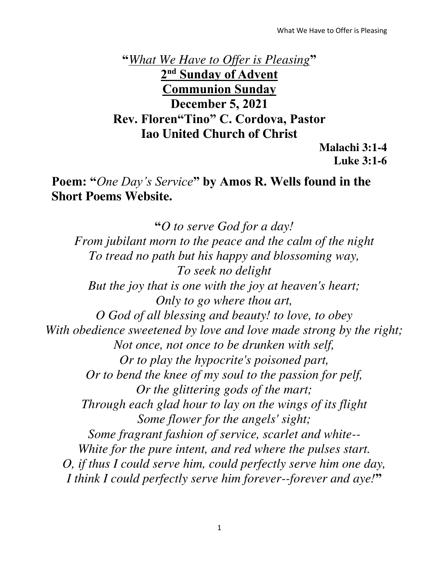**"***What We Have to Offer is Pleasing***" 2 nd Sunday of Advent Communion Sunday December 5, 2021 Rev. Floren"Tino" C. Cordova, Pastor Iao United Church of Christ** 

**Malachi 3:1-4 Luke 3:1-6** 

## **Poem: "***One Day's Service***" by Amos R. Wells found in the Short Poems Website.**

**"***O to serve God for a day! From jubilant morn to the peace and the calm of the night To tread no path but his happy and blossoming way, To seek no delight But the joy that is one with the joy at heaven's heart; Only to go where thou art, O God of all blessing and beauty! to love, to obey With obedience sweetened by love and love made strong by the right; Not once, not once to be drunken with self, Or to play the hypocrite's poisoned part, Or to bend the knee of my soul to the passion for pelf, Or the glittering gods of the mart; Through each glad hour to lay on the wings of its flight Some flower for the angels' sight; Some fragrant fashion of service, scarlet and white-- White for the pure intent, and red where the pulses start. O, if thus I could serve him, could perfectly serve him one day, I think I could perfectly serve him forever--forever and aye!***"**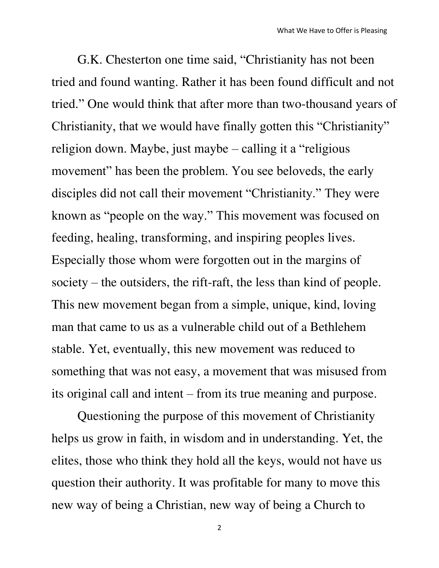G.K. Chesterton one time said, "Christianity has not been tried and found wanting. Rather it has been found difficult and not tried." One would think that after more than two-thousand years of Christianity, that we would have finally gotten this "Christianity" religion down. Maybe, just maybe – calling it a "religious movement" has been the problem. You see beloveds, the early disciples did not call their movement "Christianity." They were known as "people on the way." This movement was focused on feeding, healing, transforming, and inspiring peoples lives. Especially those whom were forgotten out in the margins of society – the outsiders, the rift-raft, the less than kind of people. This new movement began from a simple, unique, kind, loving man that came to us as a vulnerable child out of a Bethlehem stable. Yet, eventually, this new movement was reduced to something that was not easy, a movement that was misused from its original call and intent – from its true meaning and purpose.

Questioning the purpose of this movement of Christianity helps us grow in faith, in wisdom and in understanding. Yet, the elites, those who think they hold all the keys, would not have us question their authority. It was profitable for many to move this new way of being a Christian, new way of being a Church to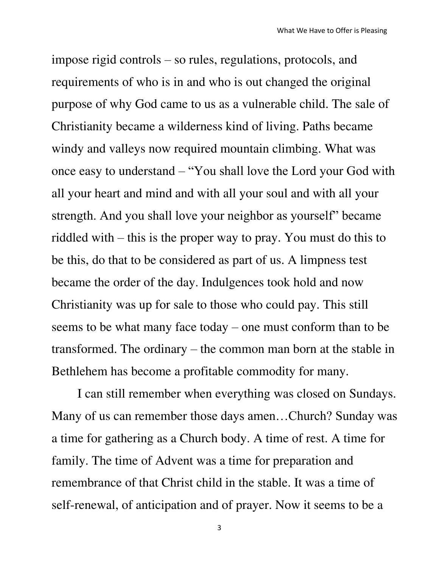impose rigid controls – so rules, regulations, protocols, and requirements of who is in and who is out changed the original purpose of why God came to us as a vulnerable child. The sale of Christianity became a wilderness kind of living. Paths became windy and valleys now required mountain climbing. What was once easy to understand – "You shall love the Lord your God with all your heart and mind and with all your soul and with all your strength. And you shall love your neighbor as yourself" became riddled with – this is the proper way to pray. You must do this to be this, do that to be considered as part of us. A limpness test became the order of the day. Indulgences took hold and now Christianity was up for sale to those who could pay. This still seems to be what many face today – one must conform than to be transformed. The ordinary – the common man born at the stable in Bethlehem has become a profitable commodity for many.

I can still remember when everything was closed on Sundays. Many of us can remember those days amen…Church? Sunday was a time for gathering as a Church body. A time of rest. A time for family. The time of Advent was a time for preparation and remembrance of that Christ child in the stable. It was a time of self-renewal, of anticipation and of prayer. Now it seems to be a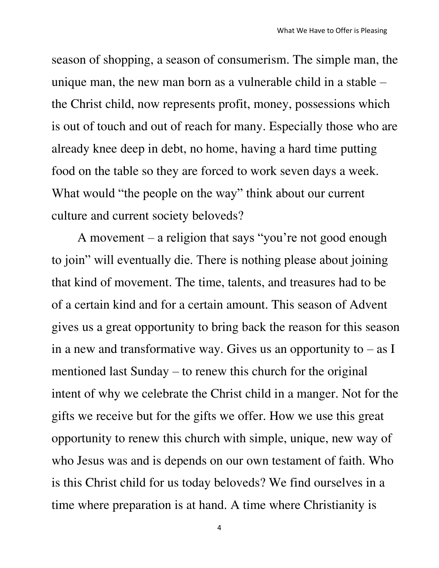season of shopping, a season of consumerism. The simple man, the unique man, the new man born as a vulnerable child in a stable – the Christ child, now represents profit, money, possessions which is out of touch and out of reach for many. Especially those who are already knee deep in debt, no home, having a hard time putting food on the table so they are forced to work seven days a week. What would "the people on the way" think about our current culture and current society beloveds?

A movement – a religion that says "you're not good enough to join" will eventually die. There is nothing please about joining that kind of movement. The time, talents, and treasures had to be of a certain kind and for a certain amount. This season of Advent gives us a great opportunity to bring back the reason for this season in a new and transformative way. Gives us an opportunity to  $-$  as I mentioned last Sunday – to renew this church for the original intent of why we celebrate the Christ child in a manger. Not for the gifts we receive but for the gifts we offer. How we use this great opportunity to renew this church with simple, unique, new way of who Jesus was and is depends on our own testament of faith. Who is this Christ child for us today beloveds? We find ourselves in a time where preparation is at hand. A time where Christianity is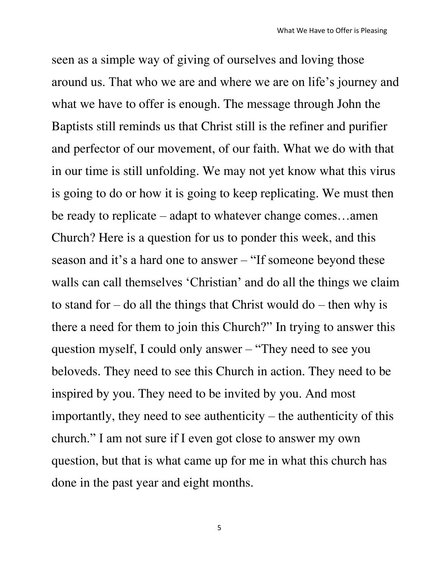seen as a simple way of giving of ourselves and loving those around us. That who we are and where we are on life's journey and what we have to offer is enough. The message through John the Baptists still reminds us that Christ still is the refiner and purifier and perfector of our movement, of our faith. What we do with that in our time is still unfolding. We may not yet know what this virus is going to do or how it is going to keep replicating. We must then be ready to replicate – adapt to whatever change comes…amen Church? Here is a question for us to ponder this week, and this season and it's a hard one to answer – "If someone beyond these walls can call themselves 'Christian' and do all the things we claim to stand for – do all the things that Christ would do – then why is there a need for them to join this Church?" In trying to answer this question myself, I could only answer – "They need to see you beloveds. They need to see this Church in action. They need to be inspired by you. They need to be invited by you. And most importantly, they need to see authenticity – the authenticity of this church." I am not sure if I even got close to answer my own question, but that is what came up for me in what this church has done in the past year and eight months.